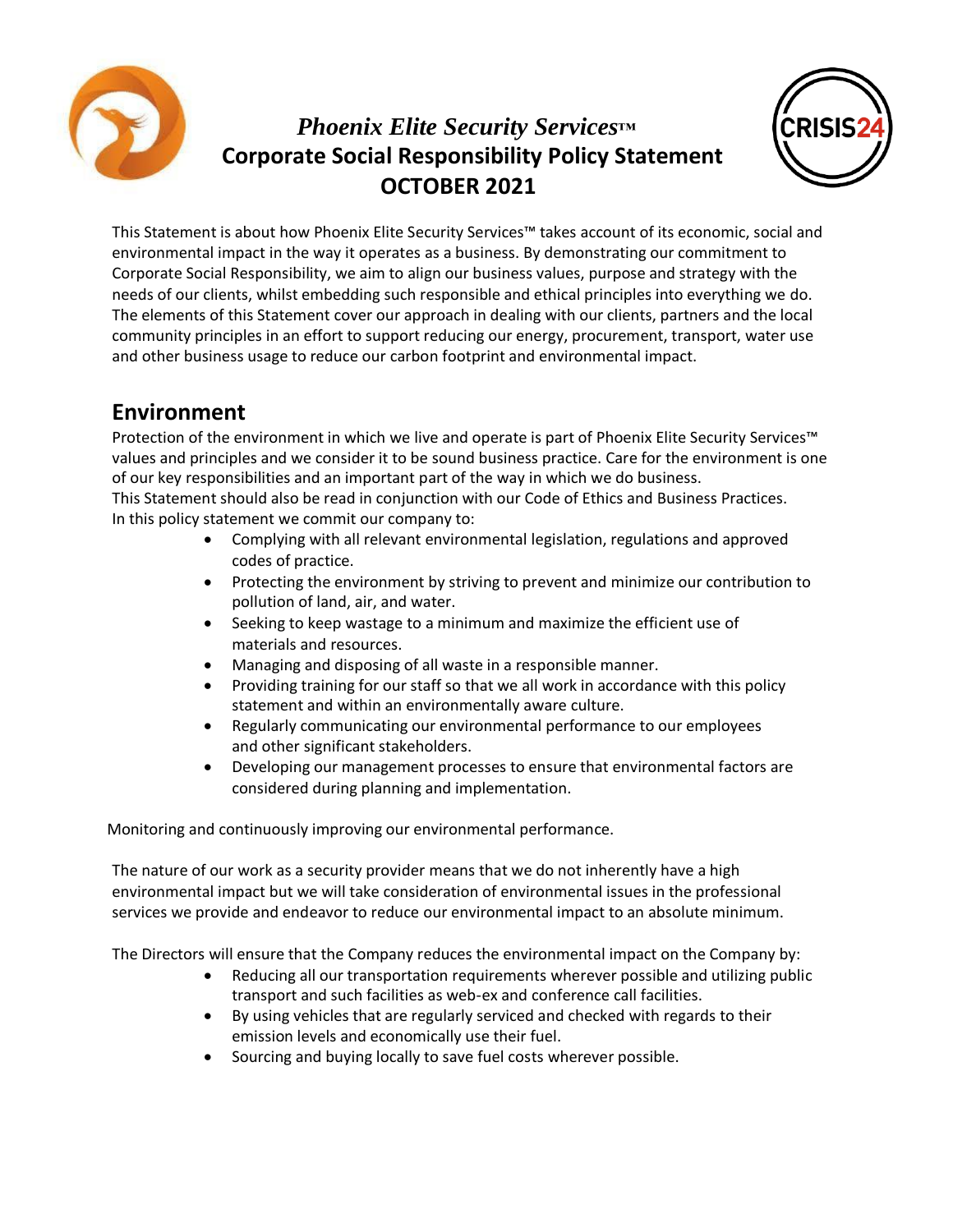

## *Phoenix Elite Security Services™* **Corporate Social Responsibility Policy Statement OCTOBER 2021**



This Statement is about how Phoenix Elite Security Services™ takes account of its economic, social and environmental impact in the way it operates as a business. By demonstrating our commitment to Corporate Social Responsibility, we aim to align our business values, purpose and strategy with the needs of our clients, whilst embedding such responsible and ethical principles into everything we do. The elements of this Statement cover our approach in dealing with our clients, partners and the local community principles in an effort to support reducing our energy, procurement, transport, water use and other business usage to reduce our carbon footprint and environmental impact.

## **Environment**

Protection of the environment in which we live and operate is part of Phoenix Elite Security Services™ values and principles and we consider it to be sound business practice. Care for the environment is one of our key responsibilities and an important part of the way in which we do business. This Statement should also be read in conjunction with our Code of Ethics and Business Practices. In this policy statement we commit our company to:

- Complying with all relevant environmental legislation, regulations and approved codes of practice.
- Protecting the environment by striving to prevent and minimize our contribution to pollution of land, air, and water.
- Seeking to keep wastage to a minimum and maximize the efficient use of materials and resources.
- Managing and disposing of all waste in a responsible manner.
- Providing training for our staff so that we all work in accordance with this policy statement and within an environmentally aware culture.
- Regularly communicating our environmental performance to our employees and other significant stakeholders.
- Developing our management processes to ensure that environmental factors are considered during planning and implementation.

Monitoring and continuously improving our environmental performance.

The nature of our work as a security provider means that we do not inherently have a high environmental impact but we will take consideration of environmental issues in the professional services we provide and endeavor to reduce our environmental impact to an absolute minimum.

The Directors will ensure that the Company reduces the environmental impact on the Company by:

- Reducing all our transportation requirements wherever possible and utilizing public transport and such facilities as web-ex and conference call facilities.
- By using vehicles that are regularly serviced and checked with regards to their emission levels and economically use their fuel.
- Sourcing and buying locally to save fuel costs wherever possible.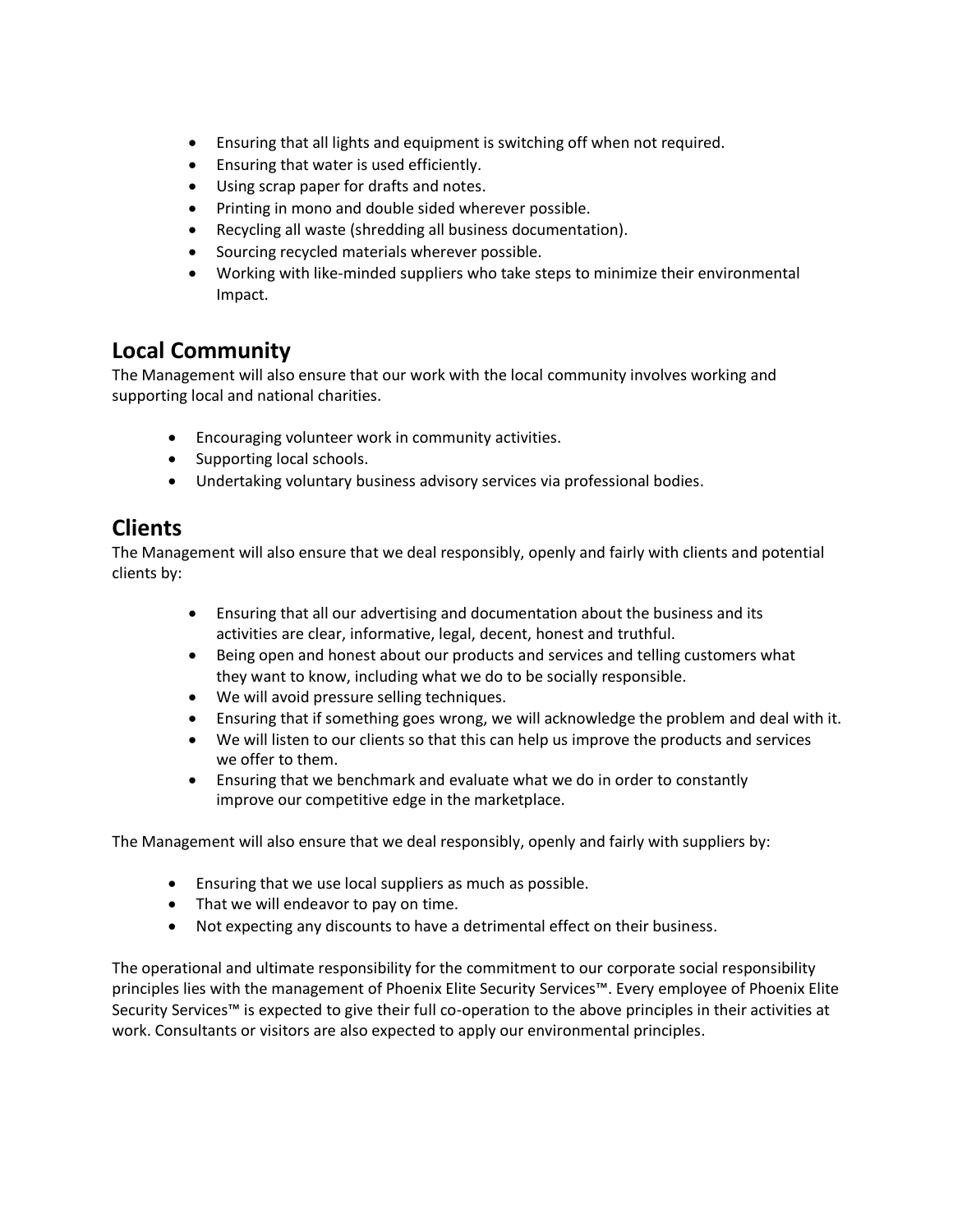- Ensuring that all lights and equipment is switching off when not required.
- Ensuring that water is used efficiently.
- Using scrap paper for drafts and notes.
- Printing in mono and double sided wherever possible.
- Recycling all waste (shredding all business documentation).
- Sourcing recycled materials wherever possible.
- Working with like-minded suppliers who take steps to minimize their environmental Impact.

## **Local Community**

The Management will also ensure that our work with the local community involves working and supporting local and national charities.

- Encouraging volunteer work in community activities.
- Supporting local schools.
- Undertaking voluntary business advisory services via professional bodies.

## **Clients**

The Management will also ensure that we deal responsibly, openly and fairly with clients and potential clients by:

- Ensuring that all our advertising and documentation about the business and its activities are clear, informative, legal, decent, honest and truthful.
- Being open and honest about our products and services and telling customers what they want to know, including what we do to be socially responsible.
- We will avoid pressure selling techniques.
- Ensuring that if something goes wrong, we will acknowledge the problem and deal with it.
- We will listen to our clients so that this can help us improve the products and services we offer to them.
- Ensuring that we benchmark and evaluate what we do in order to constantly improve our competitive edge in the marketplace.

The Management will also ensure that we deal responsibly, openly and fairly with suppliers by:

- Ensuring that we use local suppliers as much as possible.
- That we will endeavor to pay on time.
- Not expecting any discounts to have a detrimental effect on their business.

The operational and ultimate responsibility for the commitment to our corporate social responsibility principles lies with the management of Phoenix Elite Security Services™. Every employee of Phoenix Elite Security Services™ is expected to give their full co-operation to the above principles in their activities at work. Consultants or visitors are also expected to apply our environmental principles.